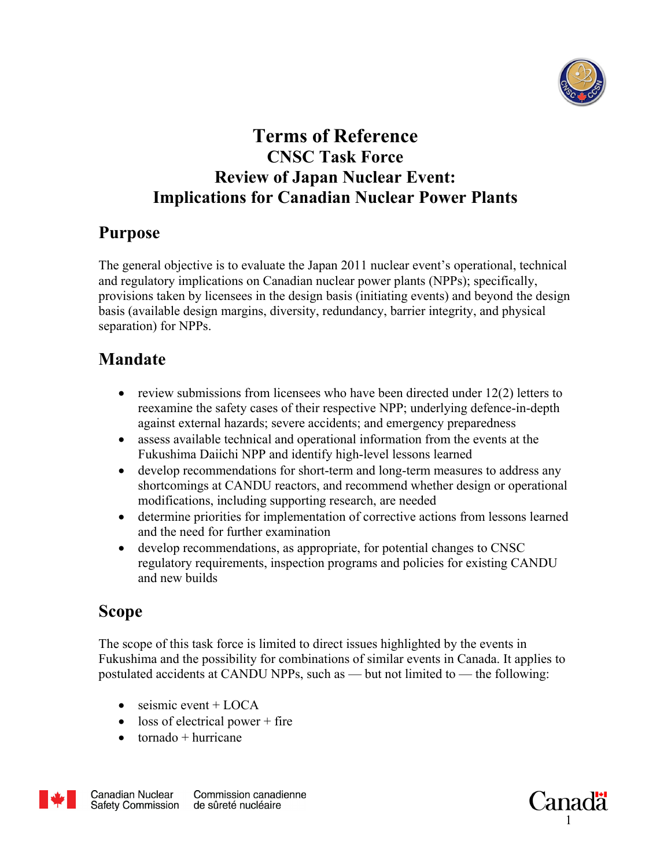

## **Terms of Reference CNSC Task Force Review of Japan Nuclear Event: Implications for Canadian Nuclear Power Plants**

### **Purpose**

The general objective is to evaluate the Japan 2011 nuclear event's operational, technical and regulatory implications on Canadian nuclear power plants (NPPs); specifically, provisions taken by licensees in the design basis (initiating events) and beyond the design basis (available design margins, diversity, redundancy, barrier integrity, and physical separation) for NPPs.

# **Mandate**

- review submissions from licensees who have been directed under  $12(2)$  letters to reexamine the safety cases of their respective NPP; underlying defence-in-depth against external hazards; severe accidents; and emergency preparedness
- assess available technical and operational information from the events at the Fukushima Daiichi NPP and identify high-level lessons learned
- develop recommendations for short-term and long-term measures to address any shortcomings at CANDU reactors, and recommend whether design or operational modifications, including supporting research, are needed
- determine priorities for implementation of corrective actions from lessons learned and the need for further examination
- develop recommendations, as appropriate, for potential changes to CNSC regulatory requirements, inspection programs and policies for existing CANDU and new builds

# **Scope**

The scope of this task force is limited to direct issues highlighted by the events in Fukushima and the possibility for combinations of similar events in Canada. It applies to postulated accidents at CANDU NPPs, such as — but not limited to — the following:

- $\bullet$  seismic event + LOCA
- $\bullet$  loss of electrical power + fire
- $\bullet$  tornado + hurricane



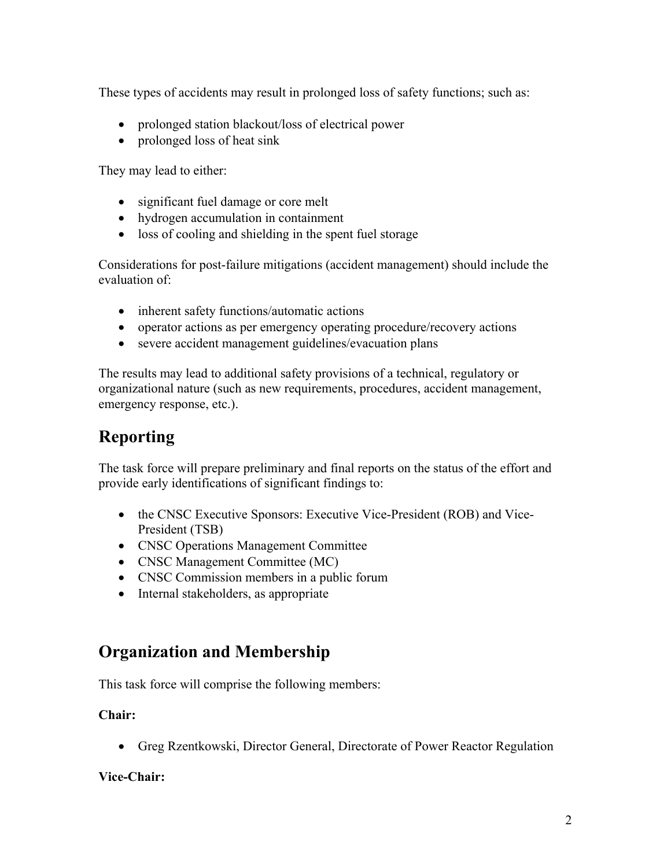These types of accidents may result in prolonged loss of safety functions; such as:

- prolonged station blackout/loss of electrical power
- prolonged loss of heat sink

They may lead to either:

- significant fuel damage or core melt
- hydrogen accumulation in containment
- loss of cooling and shielding in the spent fuel storage

Considerations for post-failure mitigations (accident management) should include the evaluation of:

- inherent safety functions/automatic actions
- operator actions as per emergency operating procedure/recovery actions
- severe accident management guidelines/evacuation plans

The results may lead to additional safety provisions of a technical, regulatory or organizational nature (such as new requirements, procedures, accident management, emergency response, etc.).

# **Reporting**

The task force will prepare preliminary and final reports on the status of the effort and provide early identifications of significant findings to:

- the CNSC Executive Sponsors: Executive Vice-President (ROB) and Vice-President (TSB)
- CNSC Operations Management Committee
- CNSC Management Committee (MC)
- CNSC Commission members in a public forum
- Internal stakeholders, as appropriate

## **Organization and Membership**

This task force will comprise the following members:

#### **Chair:**

• Greg Rzentkowski, Director General, Directorate of Power Reactor Regulation

#### **Vice-Chair:**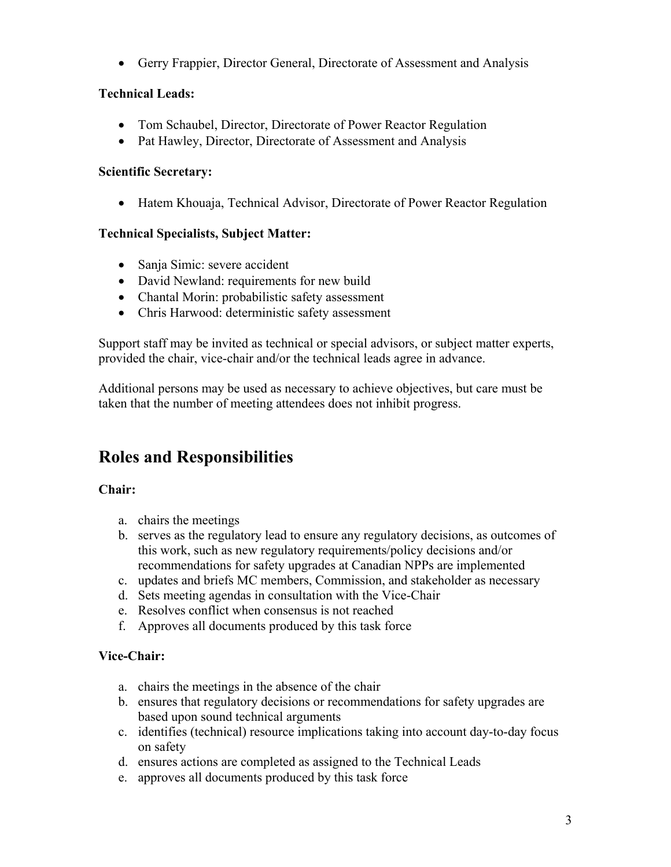• Gerry Frappier, Director General, Directorate of Assessment and Analysis

#### **Technical Leads:**

- Tom Schaubel, Director, Directorate of Power Reactor Regulation
- Pat Hawley, Director, Directorate of Assessment and Analysis

#### **Scientific Secretary:**

• Hatem Khouaja, Technical Advisor, Directorate of Power Reactor Regulation

#### **Technical Specialists, Subject Matter:**

- Sanja Simic: severe accident
- David Newland: requirements for new build
- Chantal Morin: probabilistic safety assessment
- Chris Harwood: deterministic safety assessment

Support staff may be invited as technical or special advisors, or subject matter experts, provided the chair, vice-chair and/or the technical leads agree in advance.

Additional persons may be used as necessary to achieve objectives, but care must be taken that the number of meeting attendees does not inhibit progress.

# **Roles and Responsibilities**

#### **Chair:**

- a. chairs the meetings
- b. serves as the regulatory lead to ensure any regulatory decisions, as outcomes of this work, such as new regulatory requirements/policy decisions and/or recommendations for safety upgrades at Canadian NPPs are implemented
- c. updates and briefs MC members, Commission, and stakeholder as necessary
- d. Sets meeting agendas in consultation with the Vice-Chair
- e. Resolves conflict when consensus is not reached
- f. Approves all documents produced by this task force

#### **Vice-Chair:**

- a. chairs the meetings in the absence of the chair
- b. ensures that regulatory decisions or recommendations for safety upgrades are based upon sound technical arguments
- c. identifies (technical) resource implications taking into account day-to-day focus on safety
- d. ensures actions are completed as assigned to the Technical Leads
- e. approves all documents produced by this task force